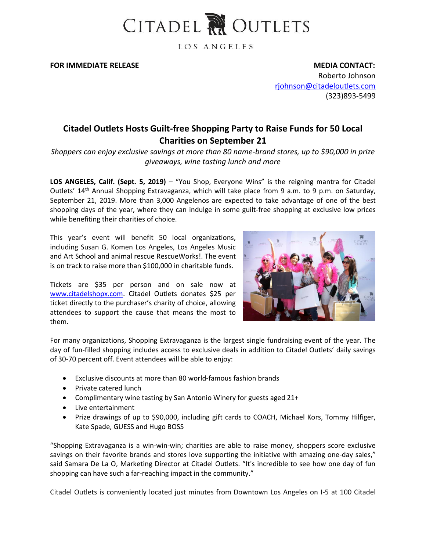

LOS ANGELES

**FOR IMMEDIATE RELEASE MEDIA CONTACT:** 

Roberto Johnson [rjohnson@citadeloutlets.com](mailto:rjohnson@citadeloutlets.com) (323)893-5499

## **Citadel Outlets Hosts Guilt-free Shopping Party to Raise Funds for 50 Local Charities on September 21**

*Shoppers can enjoy exclusive savings at more than 80 name-brand stores, up to \$90,000 in prize giveaways, wine tasting lunch and more*

**LOS ANGELES, Calif. (Sept. 5, 2019)** – "You Shop, Everyone Wins" is the reigning mantra for [Citadel](http://www.citadeloutlets.com/)  [Outlets](http://www.citadeloutlets.com/)' 14<sup>th</sup> Annual Shopping Extravaganza, which will take place from 9 a.m. to 9 p.m. on Saturday, September 21, 2019. More than 3,000 Angelenos are expected to take advantage of one of the best shopping days of the year, where they can indulge in some guilt-free shopping at exclusive low prices while benefiting their charities of choice.

This year's event will benefit 50 local organizations, including Susan G. Komen Los Angeles, Los Angeles Music and Art School and animal rescue RescueWorks!. The event is on track to raise more than \$100,000 in charitable funds.

Tickets are \$35 per person and on sale now at [www.citadelshopx.com.](http://www.citadelshopx.com/) Citadel Outlets donates \$25 per ticket directly to the purchaser's charity of choice, allowing attendees to support the cause that means the most to them.



For many organizations, Shopping Extravaganza is the largest single fundraising event of the year. The day of fun-filled shopping includes access to exclusive deals in addition to Citadel Outlets' daily savings of 30-70 percent off. Event attendees will be able to enjoy:

- Exclusive discounts at more than 80 world-famous fashion brands
- Private catered lunch
- Complimentary wine tasting by San Antonio Winery for guests aged 21+
- Live entertainment
- Prize drawings of up to \$90,000, including gift cards to COACH, Michael Kors, Tommy Hilfiger, Kate Spade, GUESS and Hugo BOSS

"Shopping Extravaganza is a win-win-win; charities are able to raise money, shoppers score exclusive savings on their favorite brands and stores love supporting the initiative with amazing one-day sales," said Samara De La O, Marketing Director at Citadel Outlets. "It's incredible to see how one day of fun shopping can have such a far-reaching impact in the community."

Citadel Outlets is conveniently located just minutes from Downtown Los Angeles on I-5 at 100 Citadel